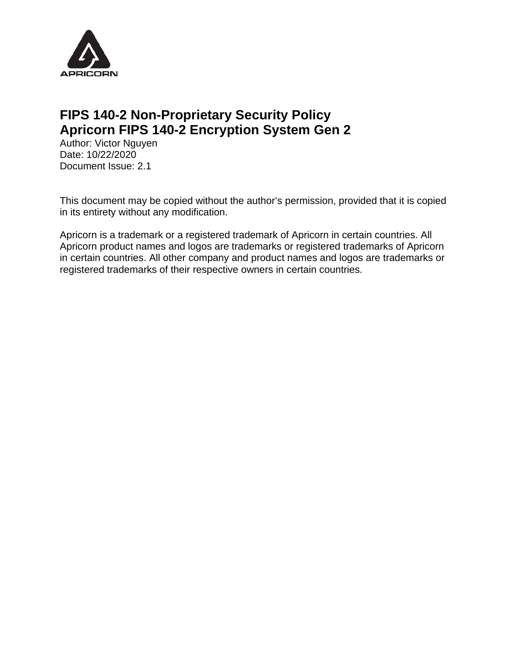

### **FIPS 140-2 Non-Proprietary Security Policy Apricorn FIPS 140-2 Encryption System Gen 2**

Author: Victor Nguyen Date: 10/22/2020 Document Issue: 2.1

This document may be copied without the author's permission, provided that it is copied in its entirety without any modification.

Apricorn is a trademark or a registered trademark of Apricorn in certain countries. All Apricorn product names and logos are trademarks or registered trademarks of Apricorn in certain countries. All other company and product names and logos are trademarks or registered trademarks of their respective owners in certain countries.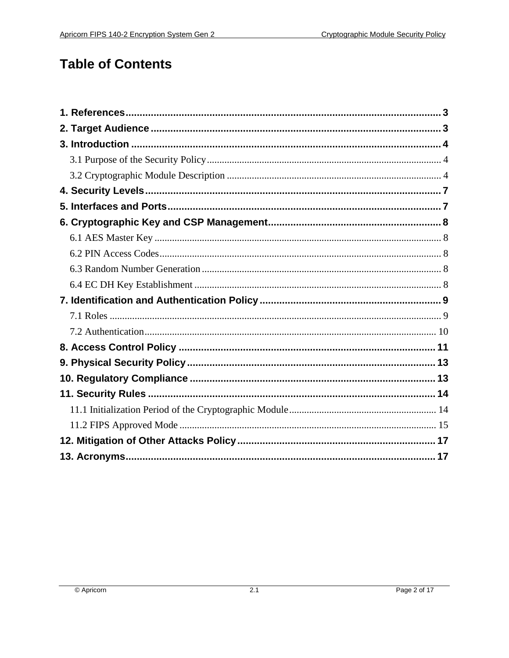# **Table of Contents**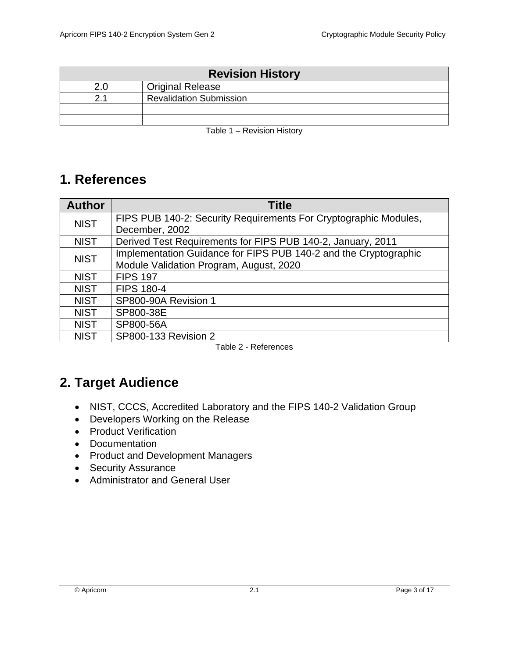| <b>Revision History</b>        |  |  |  |  |
|--------------------------------|--|--|--|--|
| <b>Original Release</b><br>2 በ |  |  |  |  |
| <b>Revalidation Submission</b> |  |  |  |  |
|                                |  |  |  |  |
|                                |  |  |  |  |

Table 1 – Revision History

### <span id="page-2-0"></span>**1. References**

| <b>Author</b> | <b>Title</b>                                                     |  |  |
|---------------|------------------------------------------------------------------|--|--|
| <b>NIST</b>   | FIPS PUB 140-2: Security Requirements For Cryptographic Modules, |  |  |
|               | December, 2002                                                   |  |  |
| <b>NIST</b>   | Derived Test Requirements for FIPS PUB 140-2, January, 2011      |  |  |
| <b>NIST</b>   | Implementation Guidance for FIPS PUB 140-2 and the Cryptographic |  |  |
|               | Module Validation Program, August, 2020                          |  |  |
| <b>NIST</b>   | <b>FIPS 197</b>                                                  |  |  |
| <b>NIST</b>   | <b>FIPS 180-4</b>                                                |  |  |
| <b>NIST</b>   | SP800-90A Revision 1                                             |  |  |
| <b>NIST</b>   | SP800-38E                                                        |  |  |
| <b>NIST</b>   | SP800-56A                                                        |  |  |
| <b>NIST</b>   | SP800-133 Revision 2                                             |  |  |

Table 2 - References

# <span id="page-2-1"></span>**2. Target Audience**

- NIST, CCCS, Accredited Laboratory and the FIPS 140-2 Validation Group
- Developers Working on the Release
- Product Verification
- Documentation
- Product and Development Managers
- Security Assurance
- Administrator and General User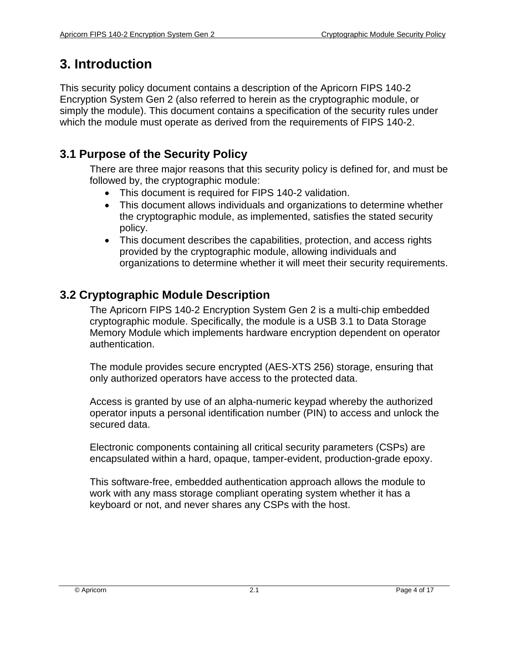# <span id="page-3-0"></span>**3. Introduction**

This security policy document contains a description of the Apricorn FIPS 140-2 Encryption System Gen 2 (also referred to herein as the cryptographic module, or simply the module). This document contains a specification of the security rules under which the module must operate as derived from the requirements of FIPS 140-2.

### <span id="page-3-1"></span>**3.1 Purpose of the Security Policy**

There are three major reasons that this security policy is defined for, and must be followed by, the cryptographic module:

- This document is required for FIPS 140-2 validation.
- This document allows individuals and organizations to determine whether the cryptographic module, as implemented, satisfies the stated security policy.
- This document describes the capabilities, protection, and access rights provided by the cryptographic module, allowing individuals and organizations to determine whether it will meet their security requirements.

### <span id="page-3-2"></span>**3.2 Cryptographic Module Description**

The Apricorn FIPS 140-2 Encryption System Gen 2 is a multi-chip embedded cryptographic module. Specifically, the module is a USB 3.1 to Data Storage Memory Module which implements hardware encryption dependent on operator authentication.

The module provides secure encrypted (AES-XTS 256) storage, ensuring that only authorized operators have access to the protected data.

Access is granted by use of an alpha-numeric keypad whereby the authorized operator inputs a personal identification number (PIN) to access and unlock the secured data.

Electronic components containing all critical security parameters (CSPs) are encapsulated within a hard, opaque, tamper-evident, production-grade epoxy.

This software-free, embedded authentication approach allows the module to work with any mass storage compliant operating system whether it has a keyboard or not, and never shares any CSPs with the host.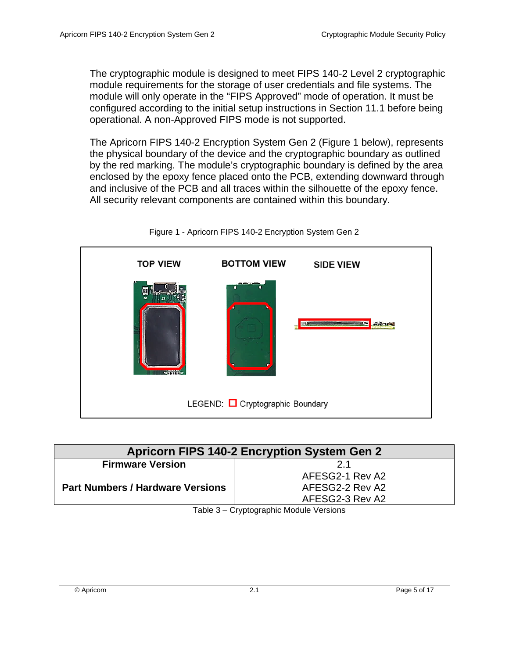The cryptographic module is designed to meet FIPS 140-2 Level 2 cryptographic module requirements for the storage of user credentials and file systems. The module will only operate in the "FIPS Approved" mode of operation. It must be configured according to the initial setup instructions in Section 11.1 before being operational. A non-Approved FIPS mode is not supported.

The Apricorn FIPS 140-2 Encryption System Gen 2 (Figure 1 below), represents the physical boundary of the device and the cryptographic boundary as outlined by the red marking. The module's cryptographic boundary is defined by the area enclosed by the epoxy fence placed onto the PCB, extending downward through and inclusive of the PCB and all traces within the silhouette of the epoxy fence. All security relevant components are contained within this boundary.



Figure 1 - Apricorn FIPS 140-2 Encryption System Gen 2

| <b>Apricorn FIPS 140-2 Encryption System Gen 2</b> |                 |  |  |
|----------------------------------------------------|-----------------|--|--|
| <b>Firmware Version</b>                            |                 |  |  |
| <b>Part Numbers / Hardware Versions</b>            | AFESG2-1 Rev A2 |  |  |
|                                                    | AFESG2-2 Rev A2 |  |  |
|                                                    | AFESG2-3 Rev A2 |  |  |

Table 3 – Cryptographic Module Versions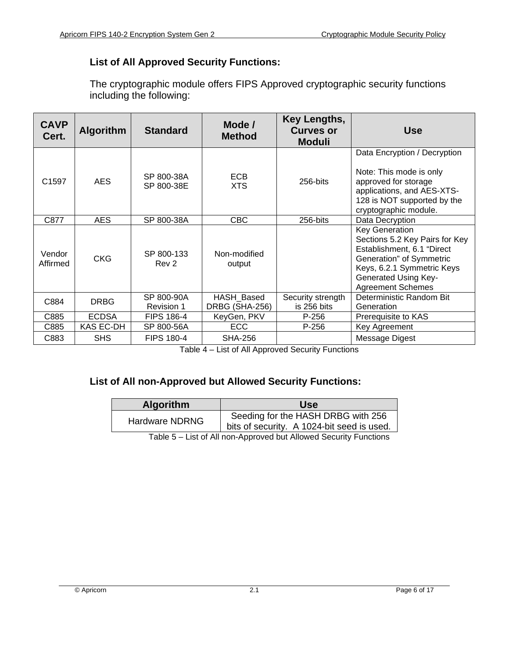#### **List of All Approved Security Functions:**

The cryptographic module offers FIPS Approved cryptographic security functions including the following:

| <b>CAVP</b><br>Cert. | <b>Algorithm</b><br><b>Standard</b>               |                                 | Mode /<br><b>Method</b>      | Key Lengths,<br><b>Curves or</b><br><b>Moduli</b> | <b>Use</b>                                                                                                                                                                                                 |
|----------------------|---------------------------------------------------|---------------------------------|------------------------------|---------------------------------------------------|------------------------------------------------------------------------------------------------------------------------------------------------------------------------------------------------------------|
| C <sub>1597</sub>    | <b>AES</b>                                        | SP 800-38A<br>SP 800-38E        | <b>ECB</b><br><b>XTS</b>     | 256-bits                                          | Data Encryption / Decryption<br>Note: This mode is only<br>approved for storage<br>applications, and AES-XTS-<br>128 is NOT supported by the<br>cryptographic module.                                      |
| C877                 | <b>AES</b><br>SP 800-38A                          |                                 | <b>CBC</b>                   | 256-bits                                          | Data Decryption                                                                                                                                                                                            |
| Vendor<br>Affirmed   | <b>CKG</b>                                        | SP 800-133<br>Rev 2             | Non-modified<br>output       |                                                   | <b>Key Generation</b><br>Sections 5.2 Key Pairs for Key<br>Establishment, 6.1 "Direct<br>Generation" of Symmetric<br>Keys, 6.2.1 Symmetric Keys<br><b>Generated Using Key-</b><br><b>Agreement Schemes</b> |
| C884                 | <b>DRBG</b>                                       | SP 800-90A<br><b>Revision 1</b> | HASH Based<br>DRBG (SHA-256) | Security strength<br>is 256 bits                  | Deterministic Random Bit<br>Generation                                                                                                                                                                     |
| C885                 | <b>ECDSA</b><br><b>FIPS 186-4</b><br>KeyGen, PKV  |                                 | $P-256$                      | Prerequisite to KAS                               |                                                                                                                                                                                                            |
| C885                 | KAS EC-DH                                         | SP 800-56A                      | <b>ECC</b>                   | P-256                                             | Key Agreement                                                                                                                                                                                              |
| C883                 | <b>FIPS 180-4</b><br><b>SHS</b><br><b>SHA-256</b> |                                 |                              |                                                   | Message Digest                                                                                                                                                                                             |

Table 4 – List of All Approved Security Functions

#### **List of All non-Approved but Allowed Security Functions:**

| <b>Algorithm</b>      | Use                                        |
|-----------------------|--------------------------------------------|
| <b>Hardware NDRNG</b> | Seeding for the HASH DRBG with 256         |
|                       | bits of security. A 1024-bit seed is used. |

Table 5 – List of All non-Approved but Allowed Security Functions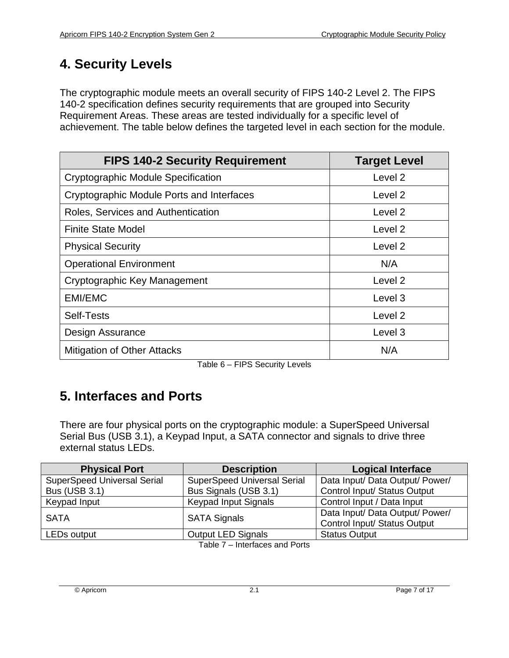# <span id="page-6-0"></span>**4. Security Levels**

The cryptographic module meets an overall security of FIPS 140-2 Level 2. The FIPS 140-2 specification defines security requirements that are grouped into Security Requirement Areas. These areas are tested individually for a specific level of achievement. The table below defines the targeted level in each section for the module.

| <b>FIPS 140-2 Security Requirement</b>    | <b>Target Level</b> |
|-------------------------------------------|---------------------|
| <b>Cryptographic Module Specification</b> | Level <sub>2</sub>  |
| Cryptographic Module Ports and Interfaces | Level 2             |
| Roles, Services and Authentication        | Level <sub>2</sub>  |
| <b>Finite State Model</b>                 | Level <sub>2</sub>  |
| <b>Physical Security</b>                  | Level <sub>2</sub>  |
| <b>Operational Environment</b>            | N/A                 |
| Cryptographic Key Management              | Level <sub>2</sub>  |
| <b>EMI/EMC</b>                            | Level 3             |
| Self-Tests                                | Level 2             |
| Design Assurance                          | Level 3             |
| <b>Mitigation of Other Attacks</b>        | N/A                 |

Table 6 – FIPS Security Levels

# <span id="page-6-1"></span>**5. Interfaces and Ports**

There are four physical ports on the cryptographic module: a SuperSpeed Universal Serial Bus (USB 3.1), a Keypad Input, a SATA connector and signals to drive three external status LEDs.

| <b>Physical Port</b>               | <b>Description</b>                 | <b>Logical Interface</b>        |  |
|------------------------------------|------------------------------------|---------------------------------|--|
| <b>SuperSpeed Universal Serial</b> | <b>SuperSpeed Universal Serial</b> | Data Input/ Data Output/ Power/ |  |
| <b>Bus (USB 3.1)</b>               | Bus Signals (USB 3.1)              | Control Input/ Status Output    |  |
| Keypad Input                       | <b>Keypad Input Signals</b>        | Control Input / Data Input      |  |
| <b>SATA</b>                        |                                    | Data Input/ Data Output/ Power/ |  |
|                                    | <b>SATA Signals</b>                | Control Input/ Status Output    |  |
| LED <sub>s</sub> output            | <b>Output LED Signals</b>          | <b>Status Output</b>            |  |
| Table 7 - Interfaces and Ports     |                                    |                                 |  |

Table  $T -$  Interfaces and Ports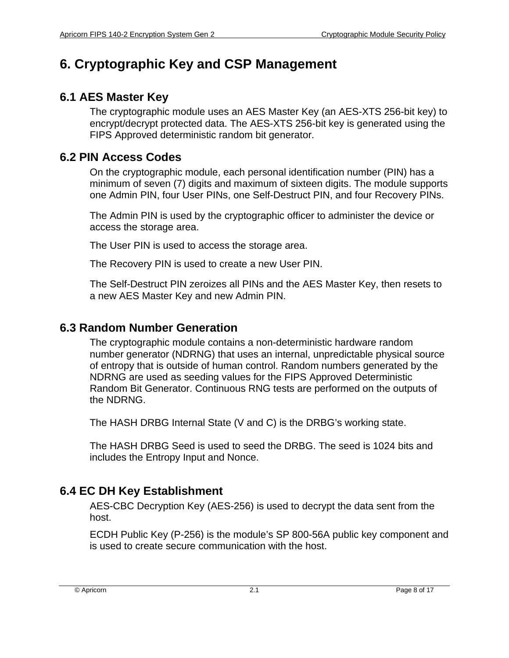## <span id="page-7-0"></span>**6. Cryptographic Key and CSP Management**

#### <span id="page-7-1"></span>**6.1 AES Master Key**

The cryptographic module uses an AES Master Key (an AES-XTS 256-bit key) to encrypt/decrypt protected data. The AES-XTS 256-bit key is generated using the FIPS Approved deterministic random bit generator.

#### <span id="page-7-2"></span>**6.2 PIN Access Codes**

On the cryptographic module, each personal identification number (PIN) has a minimum of seven (7) digits and maximum of sixteen digits. The module supports one Admin PIN, four User PINs, one Self-Destruct PIN, and four Recovery PINs.

The Admin PIN is used by the cryptographic officer to administer the device or access the storage area.

The User PIN is used to access the storage area.

The Recovery PIN is used to create a new User PIN.

The Self-Destruct PIN zeroizes all PINs and the AES Master Key, then resets to a new AES Master Key and new Admin PIN.

#### <span id="page-7-3"></span>**6.3 Random Number Generation**

The cryptographic module contains a non-deterministic hardware random number generator (NDRNG) that uses an internal, unpredictable physical source of entropy that is outside of human control. Random numbers generated by the NDRNG are used as seeding values for the FIPS Approved Deterministic Random Bit Generator. Continuous RNG tests are performed on the outputs of the NDRNG.

The HASH DRBG Internal State (V and C) is the DRBG's working state.

The HASH DRBG Seed is used to seed the DRBG. The seed is 1024 bits and includes the Entropy Input and Nonce.

#### <span id="page-7-4"></span>**6.4 EC DH Key Establishment**

AES-CBC Decryption Key (AES-256) is used to decrypt the data sent from the host.

ECDH Public Key (P-256) is the module's SP 800-56A public key component and is used to create secure communication with the host.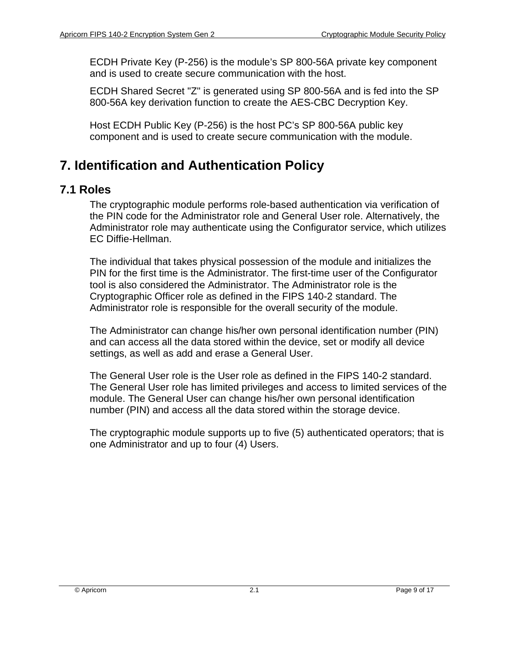ECDH Private Key (P-256) is the module's SP 800-56A private key component and is used to create secure communication with the host.

ECDH Shared Secret "Z" is generated using SP 800-56A and is fed into the SP 800-56A key derivation function to create the AES-CBC Decryption Key.

Host ECDH Public Key (P-256) is the host PC's SP 800-56A public key component and is used to create secure communication with the module.

# <span id="page-8-0"></span>**7. Identification and Authentication Policy**

#### <span id="page-8-1"></span>**7.1 Roles**

The cryptographic module performs role-based authentication via verification of the PIN code for the Administrator role and General User role. Alternatively, the Administrator role may authenticate using the Configurator service, which utilizes EC Diffie-Hellman.

The individual that takes physical possession of the module and initializes the PIN for the first time is the Administrator. The first-time user of the Configurator tool is also considered the Administrator. The Administrator role is the Cryptographic Officer role as defined in the FIPS 140-2 standard. The Administrator role is responsible for the overall security of the module.

The Administrator can change his/her own personal identification number (PIN) and can access all the data stored within the device, set or modify all device settings, as well as add and erase a General User.

The General User role is the User role as defined in the FIPS 140-2 standard. The General User role has limited privileges and access to limited services of the module. The General User can change his/her own personal identification number (PIN) and access all the data stored within the storage device.

The cryptographic module supports up to five (5) authenticated operators; that is one Administrator and up to four (4) Users.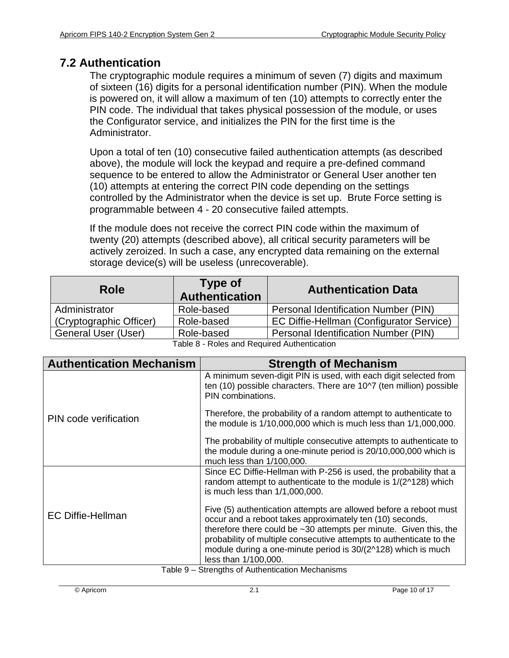### <span id="page-9-0"></span>**7.2 Authentication**

The cryptographic module requires a minimum of seven (7) digits and maximum of sixteen (16) digits for a personal identification number (PIN). When the module is powered on, it will allow a maximum of ten (10) attempts to correctly enter the PIN code. The individual that takes physical possession of the module, or uses the Configurator service, and initializes the PIN for the first time is the Administrator.

Upon a total of ten (10) consecutive failed authentication attempts (as described above), the module will lock the keypad and require a pre-defined command sequence to be entered to allow the Administrator or General User another ten (10) attempts at entering the correct PIN code depending on the settings controlled by the Administrator when the device is set up. Brute Force setting is programmable between 4 - 20 consecutive failed attempts.

If the module does not receive the correct PIN code within the maximum of twenty (20) attempts (described above), all critical security parameters will be actively zeroized. In such a case, any encrypted data remaining on the external storage device(s) will be useless (unrecoverable).

| <b>Role</b>             | Type of<br><b>Authentication</b>         | <b>Authentication Data</b>               |
|-------------------------|------------------------------------------|------------------------------------------|
| Administrator           | Role-based                               | Personal Identification Number (PIN)     |
| (Cryptographic Officer) | Role-based                               | EC Diffie-Hellman (Configurator Service) |
| General User (User)     | Role-based                               | Personal Identification Number (PIN)     |
|                         | Toble 0. Delse and Demired Authorization |                                          |

| <b>Authentication Mechanism</b> | <b>Strength of Mechanism</b>                                                                                                                                                                                                                                                                                                                                             |
|---------------------------------|--------------------------------------------------------------------------------------------------------------------------------------------------------------------------------------------------------------------------------------------------------------------------------------------------------------------------------------------------------------------------|
|                                 | A minimum seven-digit PIN is used, with each digit selected from<br>ten (10) possible characters. There are 10^7 (ten million) possible<br>PIN combinations.                                                                                                                                                                                                             |
| PIN code verification           | Therefore, the probability of a random attempt to authenticate to<br>the module is 1/10,000,000 which is much less than 1/1,000,000.                                                                                                                                                                                                                                     |
|                                 | The probability of multiple consecutive attempts to authenticate to<br>the module during a one-minute period is 20/10,000,000 which is<br>much less than 1/100,000.                                                                                                                                                                                                      |
|                                 | Since EC Diffie-Hellman with P-256 is used, the probability that a<br>random attempt to authenticate to the module is 1/(2^128) which<br>is much less than 1/1,000,000.                                                                                                                                                                                                  |
| <b>EC Diffie-Hellman</b>        | Five (5) authentication attempts are allowed before a reboot must<br>occur and a reboot takes approximately ten (10) seconds,<br>therefore there could be $\sim$ 30 attempts per minute. Given this, the<br>probability of multiple consecutive attempts to authenticate to the<br>module during a one-minute period is 30/(2^128) which is much<br>less than 1/100,000. |

Table 9 – Strengths of Authentication Mechanisms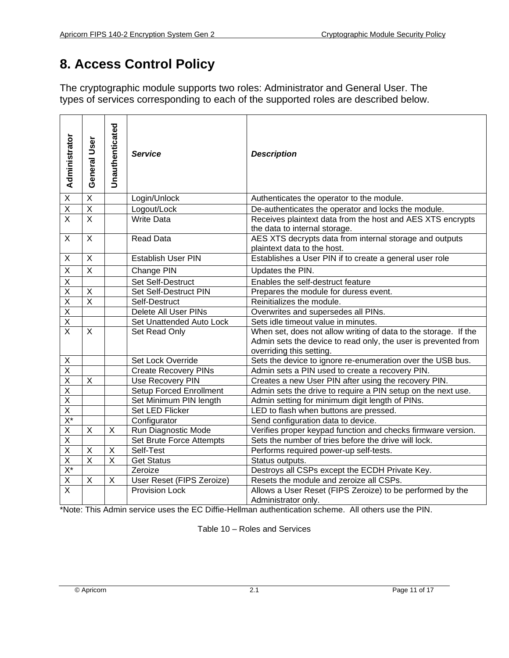## <span id="page-10-0"></span>**8. Access Control Policy**

The cryptographic module supports two roles: Administrator and General User. The types of services corresponding to each of the supported roles are described below.

| Administrator           | General User            | Unauthenticated         | <b>Service</b>              | <b>Description</b>                                                                                                                                            |
|-------------------------|-------------------------|-------------------------|-----------------------------|---------------------------------------------------------------------------------------------------------------------------------------------------------------|
| $\overline{X}$          | $\overline{\mathsf{x}}$ |                         | Login/Unlock                | Authenticates the operator to the module.                                                                                                                     |
| $\overline{\mathsf{X}}$ | $\overline{\mathsf{X}}$ |                         | Logout/Lock                 | De-authenticates the operator and locks the module.                                                                                                           |
| $\overline{X}$          | $\overline{\mathsf{x}}$ |                         | <b>Write Data</b>           | Receives plaintext data from the host and AES XTS encrypts<br>the data to internal storage.                                                                   |
| $\mathsf{X}$            | $\mathsf{X}$            |                         | <b>Read Data</b>            | AES XTS decrypts data from internal storage and outputs<br>plaintext data to the host.                                                                        |
| X                       | X                       |                         | <b>Establish User PIN</b>   | Establishes a User PIN if to create a general user role                                                                                                       |
| $\overline{X}$          | $\overline{\mathsf{x}}$ |                         | Change PIN                  | Updates the PIN.                                                                                                                                              |
| Χ                       |                         |                         | Set Self-Destruct           | Enables the self-destruct feature                                                                                                                             |
| $\overline{X}$          | X                       |                         | Set Self-Destruct PIN       | Prepares the module for duress event.                                                                                                                         |
| $\overline{X}$          | $\overline{X}$          |                         | Self-Destruct               | Reinitializes the module.                                                                                                                                     |
| $\overline{X}$          |                         |                         | Delete All User PINs        | Overwrites and supersedes all PINs.                                                                                                                           |
| $\overline{X}$          |                         |                         | Set Unattended Auto Lock    | Sets idle timeout value in minutes.                                                                                                                           |
| $\overline{\mathsf{x}}$ | $\mathsf{X}$            |                         | Set Read Only               | When set, does not allow writing of data to the storage. If the<br>Admin sets the device to read only, the user is prevented from<br>overriding this setting. |
| $\underline{X}$         |                         |                         | Set Lock Override           | Sets the device to ignore re-enumeration over the USB bus.                                                                                                    |
| $\overline{\mathsf{x}}$ |                         |                         | <b>Create Recovery PINs</b> | Admin sets a PIN used to create a recovery PIN.                                                                                                               |
| $\overline{X}$          | X                       |                         | Use Recovery PIN            | Creates a new User PIN after using the recovery PIN.                                                                                                          |
| $\overline{X}$          |                         |                         | Setup Forced Enrollment     | Admin sets the drive to require a PIN setup on the next use.                                                                                                  |
| $\overline{\mathsf{X}}$ |                         |                         | Set Minimum PIN length      | Admin setting for minimum digit length of PINs.                                                                                                               |
| $\overline{\mathsf{X}}$ |                         |                         | Set LED Flicker             | LED to flash when buttons are pressed.                                                                                                                        |
| $\frac{X^*}{X}$         |                         |                         | Configurator                | Send configuration data to device.                                                                                                                            |
|                         | X                       | X                       | Run Diagnostic Mode         | Verifies proper keypad function and checks firmware version.                                                                                                  |
| $\overline{\mathsf{x}}$ |                         |                         | Set Brute Force Attempts    | Sets the number of tries before the drive will lock.                                                                                                          |
| $\overline{\mathsf{x}}$ | X                       | X                       | Self-Test                   | Performs required power-up self-tests.                                                                                                                        |
| $\overline{X}$          | $\overline{\mathsf{x}}$ | $\overline{\mathsf{x}}$ | <b>Get Status</b>           | Status outputs.                                                                                                                                               |
| $\frac{X^*}{X}$         |                         |                         | Zeroize                     | Destroys all CSPs except the ECDH Private Key.                                                                                                                |
|                         | X                       | X                       | User Reset (FIPS Zeroize)   | Resets the module and zeroize all CSPs.                                                                                                                       |
| $\overline{\mathsf{x}}$ |                         |                         | <b>Provision Lock</b>       | Allows a User Reset (FIPS Zeroize) to be performed by the<br>Administrator only.                                                                              |

\*Note: This Admin service uses the EC Diffie-Hellman authentication scheme. All others use the PIN.

Table 10 – Roles and Services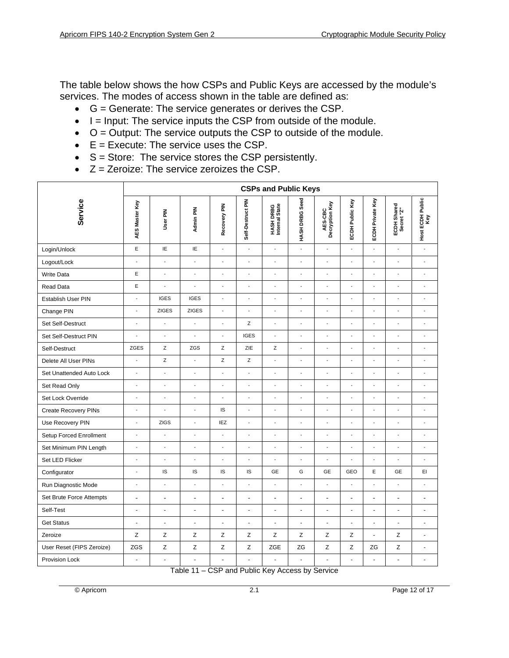The table below shows the how CSPs and Public Keys are accessed by the module's services. The modes of access shown in the table are defined as:

- $\bullet$   $G =$  Generate: The service generates or derives the CSP.
- $\bullet$   $I =$  Input: The service inputs the CSP from outside of the module.
- $\bullet$   $O =$  Output: The service outputs the CSP to outside of the module.
- $\bullet$   $E =$  Execute: The service uses the CSP.
- S = Store: The service stores the CSP persistently.
- $\bullet$   $Z =$  Zeroize: The service zeroizes the CSP.

|                             | <b>CSPs and Public Keys</b> |                          |                          |                          |                   |                             |                          |                           |                          |                  |                           |                          |
|-----------------------------|-----------------------------|--------------------------|--------------------------|--------------------------|-------------------|-----------------------------|--------------------------|---------------------------|--------------------------|------------------|---------------------------|--------------------------|
| Service                     | AES Master Key              | User PIN                 | Admin PIN                | Recovery PIN             | Self-Destruct PIN | HASH DRBG<br>Internal State | HASH DRBG Seed           | AES-CBC<br>Decryption Key | ECDH Public Key          | ECDH Private Key | ECDH Shared<br>Secret "Z" | Host ECDH Public<br>Key  |
| Login/Unlock                | $\mathsf E$                 | IE                       | IE                       | $\overline{a}$           | $\overline{a}$    | $\overline{a}$              | ÷,                       | $\blacksquare$            | $\overline{a}$           | $\overline{a}$   | $\overline{a}$            | $\overline{\phantom{a}}$ |
| Logout/Lock                 | $\overline{a}$              | $\overline{\phantom{a}}$ | $\overline{a}$           | $\overline{a}$           | $\overline{a}$    | $\overline{a}$              | $\overline{a}$           | $\overline{\phantom{a}}$  | $\overline{a}$           | $\overline{a}$   | $\overline{a}$            | $\overline{\phantom{a}}$ |
| <b>Write Data</b>           | $\mathsf E$                 | ÷,                       | $\overline{a}$           | ÷,                       | L                 | $\blacksquare$              | $\overline{a}$           | ÷,                        | ÷,                       | ÷,               | $\overline{a}$            | ÷,                       |
| Read Data                   | E                           | $\blacksquare$           | ÷,                       | $\overline{\phantom{a}}$ | $\overline{a}$    | $\overline{\phantom{a}}$    | ÷,                       | $\overline{\phantom{a}}$  | ÷,                       | $\overline{a}$   | $\overline{\phantom{a}}$  | $\blacksquare$           |
| Establish User PIN          | $\overline{a}$              | <b>IGES</b>              | <b>IGES</b>              | $\overline{a}$           | $\overline{a}$    | $\overline{a}$              | $\overline{\phantom{a}}$ | $\overline{a}$            | $\overline{a}$           | $\overline{a}$   | $\frac{1}{2}$             | $\blacksquare$           |
| Change PIN                  | $\overline{a}$              | <b>ZIGES</b>             | <b>ZIGES</b>             | $\overline{a}$           | $\overline{a}$    | $\overline{a}$              | $\overline{a}$           | $\overline{a}$            | $\overline{a}$           | $\overline{a}$   | $\overline{a}$            | $\overline{\phantom{a}}$ |
| Set Self-Destruct           | $\overline{a}$              |                          | $\overline{a}$           | $\overline{a}$           | Z                 | $\blacksquare$              | $\overline{\phantom{a}}$ | $\frac{1}{2}$             | $\overline{\phantom{a}}$ | $\overline{a}$   | $\overline{a}$            | $\overline{\phantom{a}}$ |
| Set Self-Destruct PIN       | $\overline{a}$              | $\overline{\phantom{a}}$ | $\overline{a}$           | $\overline{a}$           | <b>IGES</b>       | $\overline{\phantom{a}}$    | $\overline{a}$           | ÷.                        | $\overline{a}$           | $\overline{a}$   | $\overline{a}$            | ÷,                       |
| Self-Destruct               | ZGES                        | Ζ                        | ZGS                      | Ζ                        | ZIE               | Ζ                           | ÷,                       | $\overline{a}$            | L,                       | $\overline{a}$   | $\overline{a}$            | $\overline{a}$           |
| Delete All User PINs        | $\frac{1}{2}$               | Z                        | $\overline{\phantom{a}}$ | Z                        | Z                 | $\Box$                      | $\overline{\phantom{a}}$ | $\overline{a}$            | $\overline{\phantom{a}}$ | $\overline{a}$   | L,                        | $\overline{\phantom{a}}$ |
| Set Unattended Auto Lock    | $\overline{a}$              | $\sim$                   | $\overline{a}$           | $\overline{a}$           | $\overline{a}$    | $\overline{a}$              | $\overline{a}$           | $\overline{a}$            | $\overline{a}$           | $\overline{a}$   | $\overline{a}$            | $\overline{\phantom{a}}$ |
| Set Read Only               | $\overline{\phantom{a}}$    | $\blacksquare$           | ÷,                       | $\overline{a}$           | $\overline{a}$    | $\overline{a}$              | $\overline{a}$           | $\overline{a}$            | $\blacksquare$           | $\overline{a}$   | $\overline{a}$            | $\blacksquare$           |
| Set Lock Override           | $\blacksquare$              | $\sim$                   | $\overline{a}$           | ÷,                       | L,                | $\overline{a}$              | $\overline{a}$           | ÷,                        | ÷,                       | $\overline{a}$   | $\overline{a}$            | ÷,                       |
| <b>Create Recovery PINs</b> | $\overline{a}$              | ÷,                       | ÷,                       | IS                       | Ĭ.                | $\overline{a}$              | $\overline{a}$           | $\overline{a}$            | L,                       | $\overline{a}$   | $\overline{a}$            | $\overline{a}$           |
| Use Recovery PIN            | $\overline{a}$              | <b>ZIGS</b>              | $\overline{\phantom{a}}$ | IEZ                      | $\overline{a}$    | $\overline{a}$              | $\overline{a}$           | $\overline{a}$            | $\overline{a}$           | $\overline{a}$   | $\overline{a}$            | $\overline{\phantom{a}}$ |
| Setup Forced Enrollment     | $\overline{\phantom{a}}$    | $\overline{a}$           | $\overline{a}$           | $\overline{a}$           | $\overline{a}$    | $\overline{a}$              | ÷,                       | $\overline{a}$            | $\overline{a}$           | $\overline{a}$   | $\overline{a}$            | $\overline{\phantom{a}}$ |
| Set Minimum PIN Length      | $\overline{\phantom{a}}$    | $\overline{\phantom{a}}$ | $\overline{a}$           | $\overline{a}$           | $\overline{a}$    | $\overline{a}$              | $\overline{\phantom{a}}$ | $\overline{\phantom{a}}$  | $\overline{a}$           | $\overline{a}$   | $\overline{a}$            | $\blacksquare$           |
| Set LED Flicker             | $\blacksquare$              | $\overline{a}$           | $\overline{a}$           | ÷,                       | L,                | $\overline{a}$              | $\overline{a}$           | ÷,                        | Ĭ.                       | ÷,               | L                         | ÷,                       |
| Configurator                | $\overline{a}$              | IS                       | IS                       | IS                       | IS                | <b>GE</b>                   | G                        | GE                        | GEO                      | E                | GE                        | EI                       |
| Run Diagnostic Mode         | $\frac{1}{2}$               | $\blacksquare$           | $\overline{\phantom{a}}$ | $\overline{a}$           | L,                | $\Box$                      | $\overline{\phantom{a}}$ | $\overline{a}$            | $\overline{\phantom{a}}$ | $\overline{a}$   | L,                        | $\overline{\phantom{a}}$ |
| Set Brute Force Attempts    | $\overline{a}$              | $\ddot{\phantom{a}}$     | L,                       | ÷,                       | $\overline{a}$    | $\blacksquare$              | $\ddot{\phantom{a}}$     | $\blacksquare$            | $\blacksquare$           | ÷,               | $\overline{a}$            | $\blacksquare$           |
| Self-Test                   | ÷,                          | $\blacksquare$           | L,                       | $\blacksquare$           | $\overline{a}$    | $\blacksquare$              | $\Box$                   | ÷,                        | ÷,                       | $\blacksquare$   | $\overline{\phantom{a}}$  | $\blacksquare$           |
| <b>Get Status</b>           | $\overline{\phantom{a}}$    | $\overline{\phantom{a}}$ | $\Box$                   | $\blacksquare$           | $\frac{1}{2}$     | $\blacksquare$              | $\blacksquare$           | ÷                         | $\blacksquare$           | ÷,               | $\blacksquare$            | $\blacksquare$           |
| Zeroize                     | $\mathsf Z$                 | Z                        | Z                        | $\mathsf Z$              | Ζ                 | Z                           | Z                        | Z                         | $\mathsf Z$              | ÷.               | Z                         | ä,                       |
| User Reset (FIPS Zeroize)   | ZGS                         | $\mathsf Z$              | Z                        | Z                        | Z                 | ZGE                         | ZG                       | Z                         | $\mathsf Z$              | ZG               | $\mathsf Z$               | $\blacksquare$           |
| Provision Lock              | ÷,                          |                          | l,                       |                          | L                 |                             | ÷,                       | ä,                        |                          | Ĭ.               | Ĭ.                        | $\blacksquare$           |

Table 11 – CSP and Public Key Access by Service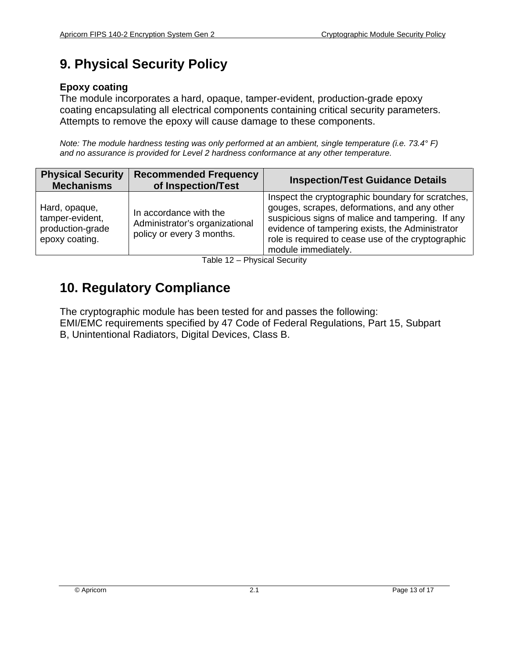# <span id="page-12-0"></span>**9. Physical Security Policy**

#### **Epoxy coating**

The module incorporates a hard, opaque, tamper-evident, production-grade epoxy coating encapsulating all electrical components containing critical security parameters. Attempts to remove the epoxy will cause damage to these components.

*Note: The module hardness testing was only performed at an ambient, single temperature (i.e. 73.4° F) and no assurance is provided for Level 2 hardness conformance at any other temperature.*

| <b>Physical Security</b><br><b>Mechanisms</b>                          | <b>Recommended Frequency</b><br>of Inspection/Test                                    | <b>Inspection/Test Guidance Details</b>                                                                                                                                                                                                                                               |
|------------------------------------------------------------------------|---------------------------------------------------------------------------------------|---------------------------------------------------------------------------------------------------------------------------------------------------------------------------------------------------------------------------------------------------------------------------------------|
| Hard, opaque,<br>tamper-evident,<br>production-grade<br>epoxy coating. | In accordance with the<br>Administrator's organizational<br>policy or every 3 months. | Inspect the cryptographic boundary for scratches,<br>gouges, scrapes, deformations, and any other<br>suspicious signs of malice and tampering. If any<br>evidence of tampering exists, the Administrator<br>role is required to cease use of the cryptographic<br>module immediately. |

Table 12 – Physical Security

## <span id="page-12-1"></span>**10. Regulatory Compliance**

The cryptographic module has been tested for and passes the following: EMI/EMC requirements specified by 47 Code of Federal Regulations, Part 15, Subpart B, Unintentional Radiators, Digital Devices, Class B.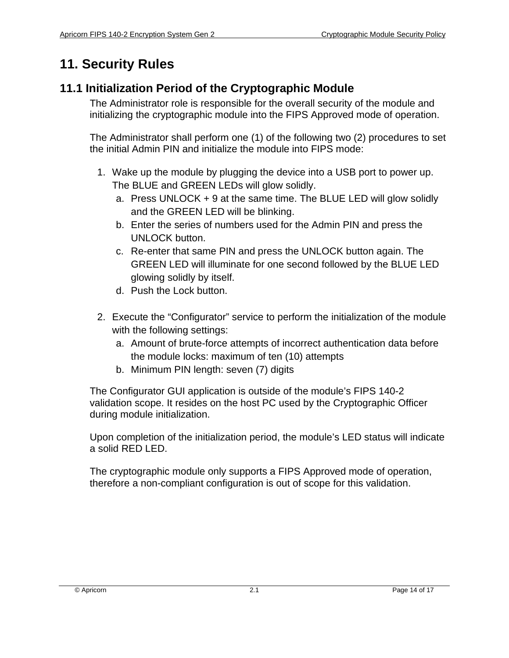# <span id="page-13-0"></span>**11. Security Rules**

### <span id="page-13-1"></span>**11.1 Initialization Period of the Cryptographic Module**

The Administrator role is responsible for the overall security of the module and initializing the cryptographic module into the FIPS Approved mode of operation.

The Administrator shall perform one (1) of the following two (2) procedures to set the initial Admin PIN and initialize the module into FIPS mode:

- 1. Wake up the module by plugging the device into a USB port to power up. The BLUE and GREEN LEDs will glow solidly.
	- a. Press UNLOCK + 9 at the same time. The BLUE LED will glow solidly and the GREEN LED will be blinking.
	- b. Enter the series of numbers used for the Admin PIN and press the UNLOCK button.
	- c. Re-enter that same PIN and press the UNLOCK button again. The GREEN LED will illuminate for one second followed by the BLUE LED glowing solidly by itself.
	- d. Push the Lock button.
- 2. Execute the "Configurator" service to perform the initialization of the module with the following settings:
	- a. Amount of brute-force attempts of incorrect authentication data before the module locks: maximum of ten (10) attempts
	- b. Minimum PIN length: seven (7) digits

The Configurator GUI application is outside of the module's FIPS 140-2 validation scope. It resides on the host PC used by the Cryptographic Officer during module initialization.

Upon completion of the initialization period, the module's LED status will indicate a solid RED LED.

The cryptographic module only supports a FIPS Approved mode of operation, therefore a non-compliant configuration is out of scope for this validation.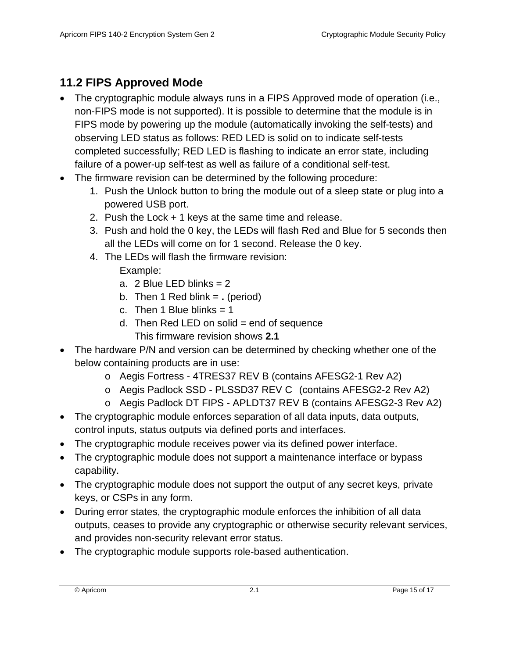### <span id="page-14-0"></span>**11.2 FIPS Approved Mode**

- The cryptographic module always runs in a FIPS Approved mode of operation (i.e., non-FIPS mode is not supported). It is possible to determine that the module is in FIPS mode by powering up the module (automatically invoking the self-tests) and observing LED status as follows: RED LED is solid on to indicate self-tests completed successfully; RED LED is flashing to indicate an error state, including failure of a power-up self-test as well as failure of a conditional self-test.
- The firmware revision can be determined by the following procedure:
	- 1. Push the Unlock button to bring the module out of a sleep state or plug into a powered USB port.
	- 2. Push the Lock + 1 keys at the same time and release.
	- 3. Push and hold the 0 key, the LEDs will flash Red and Blue for 5 seconds then all the LEDs will come on for 1 second. Release the 0 key.
	- 4. The LEDs will flash the firmware revision:
		- Example:
		- a.  $2$  Blue LED blinks =  $2$
		- b. Then 1 Red blink = **.** (period)
		- c. Then 1 Blue blinks  $= 1$
		- d. Then Red LED on solid  $=$  end of sequence This firmware revision shows **2.1**
- The hardware P/N and version can be determined by checking whether one of the below containing products are in use:
	- o Aegis Fortress 4TRES37 REV B (contains AFESG2-1 Rev A2)
	- o Aegis Padlock SSD PLSSD37 REV C (contains AFESG2-2 Rev A2)
	- o Aegis Padlock DT FIPS APLDT37 REV B (contains AFESG2-3 Rev A2)
- The cryptographic module enforces separation of all data inputs, data outputs, control inputs, status outputs via defined ports and interfaces.
- The cryptographic module receives power via its defined power interface.
- The cryptographic module does not support a maintenance interface or bypass capability.
- The cryptographic module does not support the output of any secret keys, private keys, or CSPs in any form.
- During error states, the cryptographic module enforces the inhibition of all data outputs, ceases to provide any cryptographic or otherwise security relevant services, and provides non-security relevant error status.
- The cryptographic module supports role-based authentication.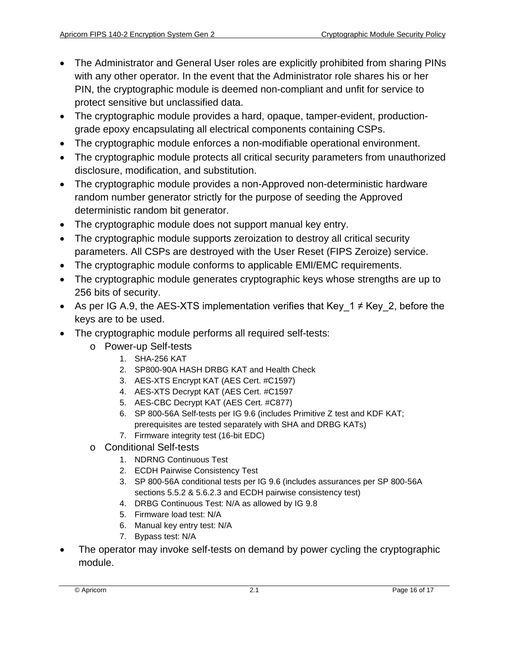- The Administrator and General User roles are explicitly prohibited from sharing PINs with any other operator. In the event that the Administrator role shares his or her PIN, the cryptographic module is deemed non-compliant and unfit for service to protect sensitive but unclassified data.
- The cryptographic module provides a hard, opaque, tamper-evident, productiongrade epoxy encapsulating all electrical components containing CSPs.
- The cryptographic module enforces a non-modifiable operational environment.
- The cryptographic module protects all critical security parameters from unauthorized disclosure, modification, and substitution.
- The cryptographic module provides a non-Approved non-deterministic hardware random number generator strictly for the purpose of seeding the Approved deterministic random bit generator.
- The cryptographic module does not support manual key entry.
- The cryptographic module supports zeroization to destroy all critical security parameters. All CSPs are destroyed with the User Reset (FIPS Zeroize) service.
- The cryptographic module conforms to applicable EMI/EMC requirements.
- The cryptographic module generates cryptographic keys whose strengths are up to 256 bits of security.
- As per IG A.9, the AES-XTS implementation verifies that Key  $1 \neq$  Key 2, before the keys are to be used.
- The cryptographic module performs all required self-tests:
	- o Power-up Self-tests
		- 1. SHA-256 KAT
		- 2. SP800-90A HASH DRBG KAT and Health Check
		- 3. AES-XTS Encrypt KAT (AES Cert. #C1597)
		- 4. AES-XTS Decrypt KAT (AES Cert. #C1597
		- 5. AES-CBC Decrypt KAT (AES Cert. #C877)
		- 6. SP 800-56A Self-tests per IG 9.6 (includes Primitive Z test and KDF KAT; prerequisites are tested separately with SHA and DRBG KATs)
		- 7. Firmware integrity test (16-bit EDC)
	- o Conditional Self-tests
		- 1. NDRNG Continuous Test
		- 2. ECDH Pairwise Consistency Test
		- 3. SP 800-56A conditional tests per IG 9.6 (includes assurances per SP 800-56A sections 5.5.2 & 5.6.2.3 and ECDH pairwise consistency test)
		- 4. DRBG Continuous Test: N/A as allowed by IG 9.8
		- 5. Firmware load test: N/A
		- 6. Manual key entry test: N/A
		- 7. Bypass test: N/A
- The operator may invoke self-tests on demand by power cycling the cryptographic module.